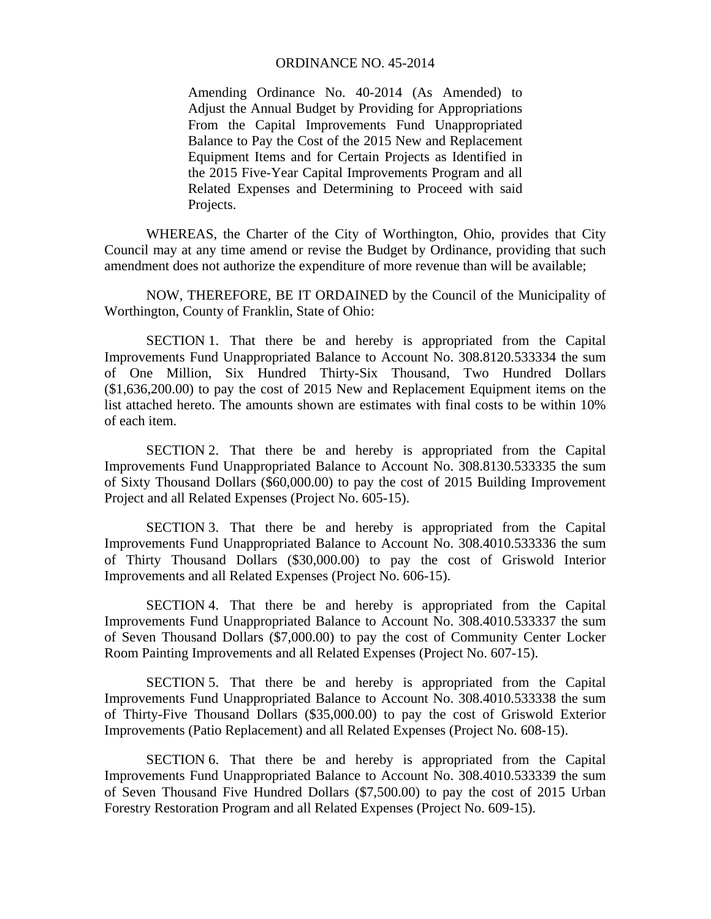## ORDINANCE NO. 45-2014

Amending Ordinance No. 40-2014 (As Amended) to Adjust the Annual Budget by Providing for Appropriations From the Capital Improvements Fund Unappropriated Balance to Pay the Cost of the 2015 New and Replacement Equipment Items and for Certain Projects as Identified in the 2015 Five-Year Capital Improvements Program and all Related Expenses and Determining to Proceed with said Projects.

 WHEREAS, the Charter of the City of Worthington, Ohio, provides that City Council may at any time amend or revise the Budget by Ordinance, providing that such amendment does not authorize the expenditure of more revenue than will be available;

 NOW, THEREFORE, BE IT ORDAINED by the Council of the Municipality of Worthington, County of Franklin, State of Ohio:

 SECTION 1. That there be and hereby is appropriated from the Capital Improvements Fund Unappropriated Balance to Account No. 308.8120.533334 the sum of One Million, Six Hundred Thirty-Six Thousand, Two Hundred Dollars (\$1,636,200.00) to pay the cost of 2015 New and Replacement Equipment items on the list attached hereto. The amounts shown are estimates with final costs to be within 10% of each item.

 SECTION 2. That there be and hereby is appropriated from the Capital Improvements Fund Unappropriated Balance to Account No. 308.8130.533335 the sum of Sixty Thousand Dollars (\$60,000.00) to pay the cost of 2015 Building Improvement Project and all Related Expenses (Project No. 605-15).

 SECTION 3. That there be and hereby is appropriated from the Capital Improvements Fund Unappropriated Balance to Account No. 308.4010.533336 the sum of Thirty Thousand Dollars (\$30,000.00) to pay the cost of Griswold Interior Improvements and all Related Expenses (Project No. 606-15).

 SECTION 4. That there be and hereby is appropriated from the Capital Improvements Fund Unappropriated Balance to Account No. 308.4010.533337 the sum of Seven Thousand Dollars (\$7,000.00) to pay the cost of Community Center Locker Room Painting Improvements and all Related Expenses (Project No. 607-15).

 SECTION 5. That there be and hereby is appropriated from the Capital Improvements Fund Unappropriated Balance to Account No. 308.4010.533338 the sum of Thirty-Five Thousand Dollars (\$35,000.00) to pay the cost of Griswold Exterior Improvements (Patio Replacement) and all Related Expenses (Project No. 608-15).

SECTION 6. That there be and hereby is appropriated from the Capital Improvements Fund Unappropriated Balance to Account No. 308.4010.533339 the sum of Seven Thousand Five Hundred Dollars (\$7,500.00) to pay the cost of 2015 Urban Forestry Restoration Program and all Related Expenses (Project No. 609-15).